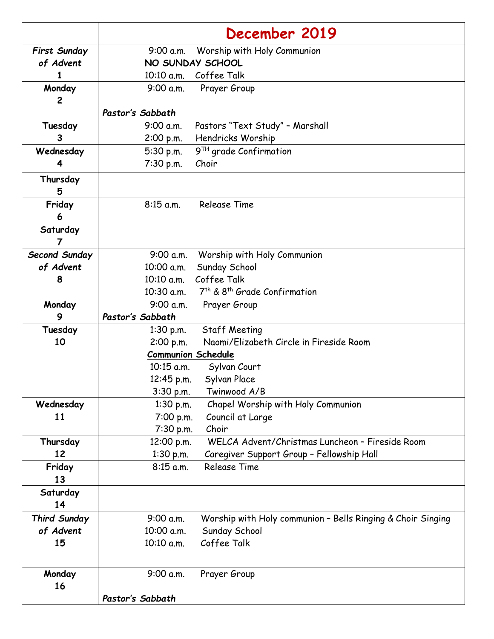|                     | December 2019                                                            |
|---------------------|--------------------------------------------------------------------------|
| <b>First Sunday</b> | Worship with Holy Communion<br>9:00 a.m.                                 |
| of Advent           | NO SUNDAY SCHOOL                                                         |
| 1                   | 10:10 a.m. Coffee Talk                                                   |
| Monday              | 9:00 a.m.<br>Prayer Group                                                |
| 2                   |                                                                          |
|                     | Pastor's Sabbath                                                         |
| Tuesday             | Pastors "Text Study" - Marshall<br>9:00 a.m.                             |
| 3                   | Hendricks Worship<br>2:00 p.m.                                           |
| Wednesday           | $9^{TH}$ grade Confirmation<br>5:30 p.m.                                 |
| 4                   | 7:30 p.m.<br>Choir                                                       |
| Thursday            |                                                                          |
| 5                   |                                                                          |
| Friday<br>6         | <b>Release Time</b><br>$8:15$ a.m.                                       |
| Saturday            |                                                                          |
| 7                   |                                                                          |
| Second Sunday       | 9:00 a.m.<br>Worship with Holy Communion                                 |
| of Advent           | Sunday School<br>10:00 a.m.                                              |
| 8                   | Coffee Talk<br>10:10 a.m.                                                |
|                     | 7 <sup>th</sup> & 8 <sup>th</sup> Grade Confirmation<br>$10:30$ a.m.     |
| Monday              | 9:00 a.m.<br>Prayer Group                                                |
| 9                   | Pastor's Sabbath                                                         |
| Tuesday             | <b>Staff Meeting</b><br>$1:30$ p.m.                                      |
| 10                  | Naomi/Elizabeth Circle in Fireside Room<br>2:00 p.m.                     |
|                     | <b>Communion Schedule</b>                                                |
|                     | 10:15 a.m.<br>Sylvan Court                                               |
|                     | 12:45 p.m.<br>Sylvan Place                                               |
|                     | 3:30 p.m.<br>Twinwood A/B                                                |
| Wednesday           | Chapel Worship with Holy Communion<br>$1:30$ p.m.                        |
| 11                  | Council at Large<br>7:00 p.m.                                            |
|                     | 7:30 p.m.<br>Choir<br>WELCA Advent/Christmas Luncheon - Fireside Room    |
| Thursday<br>12      | 12:00 p.m.<br>$1:30$ p.m.<br>Caregiver Support Group - Fellowship Hall   |
| Friday              | <b>Release Time</b><br>$8:15$ a.m.                                       |
| 13                  |                                                                          |
| Saturday            |                                                                          |
| 14                  |                                                                          |
| <b>Third Sunday</b> | 9:00 a.m.<br>Worship with Holy communion - Bells Ringing & Choir Singing |
| of Advent           | Sunday School<br>10:00 a.m.                                              |
| 15                  | Coffee Talk<br>10:10 a.m.                                                |
|                     |                                                                          |
| Monday              | 9:00 a.m.<br>Prayer Group                                                |
| 16                  |                                                                          |
|                     | Pastor's Sabbath                                                         |